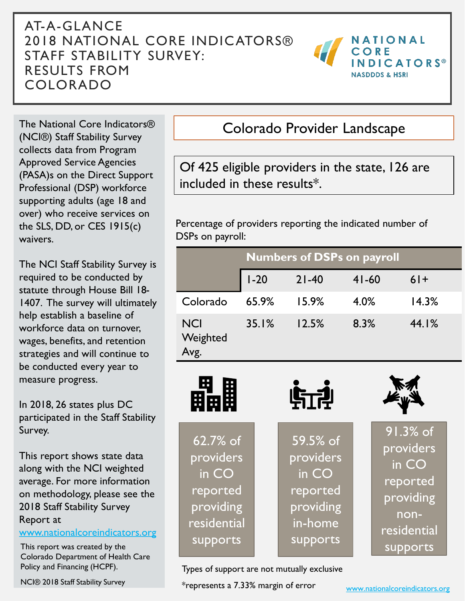#### AT-A-GLANCE 2018 NATIONAL CORE INDICATORS® STAFF STABILITY SURVEY: RESULTS FROM COLORADO



The National Core Indicators® (NCI®) Staff Stability Survey collects data from Program Approved Service Agencies (PASA)s on the Direct Support Professional (DSP) workforce supporting adults (age 18 and over) who receive services on the SLS, DD, or CES 1915(c) waivers.

The NCI Staff Stability Survey is required to be conducted by statute through House Bill 18- 1407. The survey will ultimately help establish a baseline of workforce data on turnover, wages, benefits, and retention strategies and will continue to be conducted every year to measure progress.

In 2018, 26 states plus DC participated in the Staff Stability Survey.

This report shows state data along with the NCI weighted average. For more information on methodology, please see the 2018 Staff Stability Survey Report at

[www.nationalcoreindicators.org](http://www.nationalcoreindicators.org/)

This report was created by the Colorado Department of Health Care Policy and Financing (HCPF).

### Colorado Provider Landscape

Of 425 eligible providers in the state, 126 are included in these results\*.

Percentage of providers reporting the indicated number of DSPs on payroll:

|                                | <b>Numbers of DSPs on payroll</b> |           |           |       |
|--------------------------------|-----------------------------------|-----------|-----------|-------|
|                                | $1-20$                            | $21 - 40$ | $41 - 60$ | $6+$  |
| Colorado                       | 65.9%                             | 15.9%     | 4.0%      | 14.3% |
| <b>NCI</b><br>Weighted<br>Avg. | 35.1%                             | 12.5%     | 8.3%      | 44.1% |



Types of support are not mutually exclusive

\*represents a 7.33% margin of error NCI® 2018 Staff Stability Survey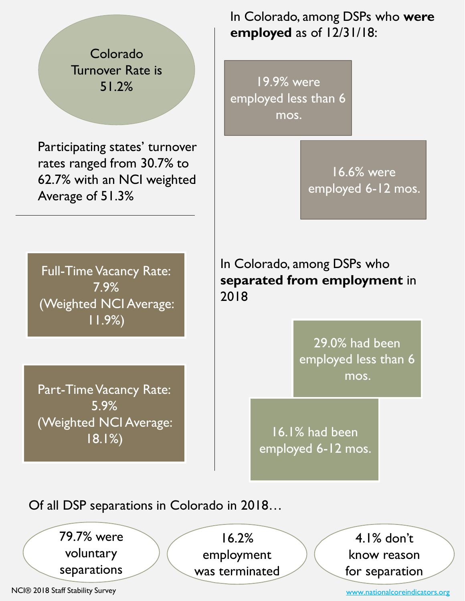Colorado Turnover Rate is 51.2%

Participating states' turnover rates ranged from 30.7% to 62.7% with an NCI weighted Average of 51.3%

In Colorado, among DSPs who **were employed** as of 12/31/18:

19.9% were employed less than 6 mos.

> 16.6% were employed 6-12 mos.

Full-Time Vacancy Rate: 7.9% (Weighted NCI Average: 11.9%)

Part-Time Vacancy Rate: 5.9% (Weighted NCI Average: 18.1%)

In Colorado, among DSPs who **separated from employment** in 2018

> 29.0% had been employed less than 6 mos.

16.1% had been employed 6-12 mos.

Of all DSP separations in Colorado in 2018…

79.7% were voluntary separations

16.2% employment was terminated

4.1% don't know reason for separation

NCI® 2018 Staff Stability Survey

[www.nationalcoreindicators.org](http://www.nationalcoreindicators.org/)